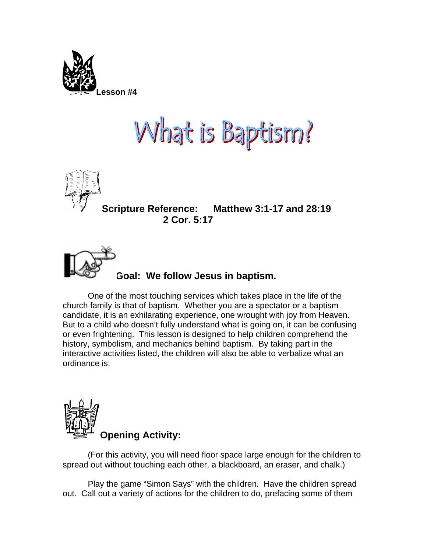

## What is Baptism!



**Scripture Reference: Matthew 3:1-17 and 28:19 2 Cor. 5:17** 



## **Goal: We follow Jesus in baptism.**

One of the most touching services which takes place in the life of the church family is that of baptism. Whether you are a spectator or a baptism candidate, it is an exhilarating experience, one wrought with joy from Heaven. But to a child who doesn't fully understand what is going on, it can be confusing or even frightening. This lesson is designed to help children comprehend the history, symbolism, and mechanics behind baptism. By taking part in the interactive activities listed, the children will also be able to verbalize what an ordinance is.



(For this activity, you will need floor space large enough for the children to spread out without touching each other, a blackboard, an eraser, and chalk.)

Play the game "Simon Says" with the children. Have the children spread out. Call out a variety of actions for the children to do, prefacing some of them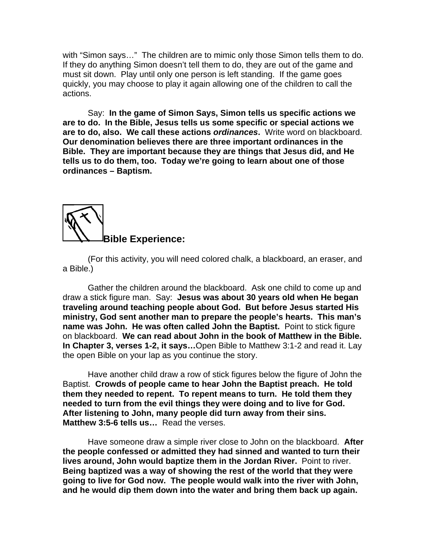with "Simon says…" The children are to mimic only those Simon tells them to do. If they do anything Simon doesn't tell them to do, they are out of the game and must sit down. Play until only one person is left standing. If the game goes quickly, you may choose to play it again allowing one of the children to call the actions.

 Say: **In the game of Simon Says, Simon tells us specific actions we are to do. In the Bible, Jesus tells us some specific or special actions we are to do, also. We call these actions** *ordinances***.** Write word on blackboard. **Our denomination believes there are three important ordinances in the Bible. They are important because they are things that Jesus did, and He tells us to do them, too. Today we're going to learn about one of those ordinances – Baptism.** 



(For this activity, you will need colored chalk, a blackboard, an eraser, and a Bible.)

Gather the children around the blackboard. Ask one child to come up and draw a stick figure man. Say: **Jesus was about 30 years old when He began traveling around teaching people about God. But before Jesus started His ministry, God sent another man to prepare the people's hearts. This man's name was John. He was often called John the Baptist.** Point to stick figure on blackboard. **We can read about John in the book of Matthew in the Bible. In Chapter 3, verses 1-2, it says…**Open Bible to Matthew 3:1-2 and read it. Lay the open Bible on your lap as you continue the story.

Have another child draw a row of stick figures below the figure of John the Baptist. **Crowds of people came to hear John the Baptist preach. He told them they needed to repent. To repent means to turn. He told them they needed to turn from the evil things they were doing and to live for God. After listening to John, many people did turn away from their sins. Matthew 3:5-6 tells us…** Read the verses.

Have someone draw a simple river close to John on the blackboard. **After the people confessed or admitted they had sinned and wanted to turn their lives around, John would baptize them in the Jordan River.** Point to river. **Being baptized was a way of showing the rest of the world that they were going to live for God now. The people would walk into the river with John, and he would dip them down into the water and bring them back up again.**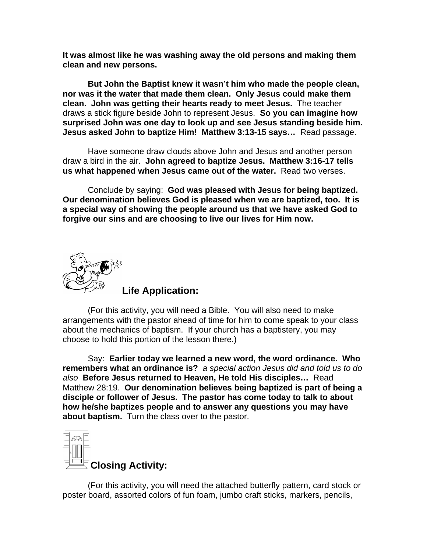**It was almost like he was washing away the old persons and making them clean and new persons.** 

**But John the Baptist knew it wasn't him who made the people clean, nor was it the water that made them clean. Only Jesus could make them clean. John was getting their hearts ready to meet Jesus.** The teacher draws a stick figure beside John to represent Jesus. **So you can imagine how surprised John was one day to look up and see Jesus standing beside him. Jesus asked John to baptize Him! Matthew 3:13-15 says…** Read passage.

Have someone draw clouds above John and Jesus and another person draw a bird in the air. **John agreed to baptize Jesus. Matthew 3:16-17 tells us what happened when Jesus came out of the water.** Read two verses.

Conclude by saying: **God was pleased with Jesus for being baptized. Our denomination believes God is pleased when we are baptized, too. It is a special way of showing the people around us that we have asked God to forgive our sins and are choosing to live our lives for Him now.**



**Life Application:** 

(For this activity, you will need a Bible. You will also need to make arrangements with the pastor ahead of time for him to come speak to your class about the mechanics of baptism. If your church has a baptistery, you may choose to hold this portion of the lesson there.)

 Say: **Earlier today we learned a new word, the word ordinance. Who remembers what an ordinance is?** *a special action Jesus did and told us to do also* **Before Jesus returned to Heaven, He told His disciples…** Read Matthew 28:19. **Our denomination believes being baptized is part of being a disciple or follower of Jesus. The pastor has come today to talk to about how he/she baptizes people and to answer any questions you may have about baptism.** Turn the class over to the pastor.



(For this activity, you will need the attached butterfly pattern, card stock or poster board, assorted colors of fun foam, jumbo craft sticks, markers, pencils,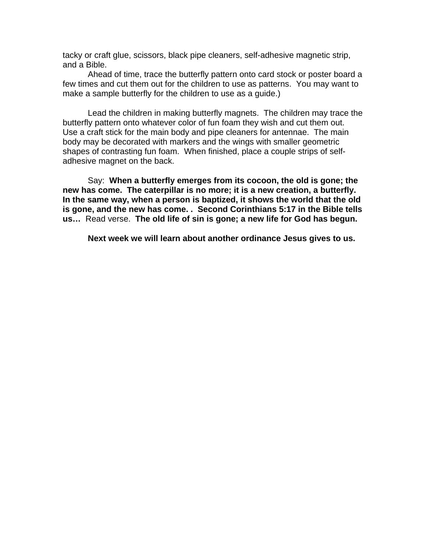tacky or craft glue, scissors, black pipe cleaners, self-adhesive magnetic strip, and a Bible.

 Ahead of time, trace the butterfly pattern onto card stock or poster board a few times and cut them out for the children to use as patterns. You may want to make a sample butterfly for the children to use as a guide.)

 Lead the children in making butterfly magnets. The children may trace the butterfly pattern onto whatever color of fun foam they wish and cut them out. Use a craft stick for the main body and pipe cleaners for antennae. The main body may be decorated with markers and the wings with smaller geometric shapes of contrasting fun foam. When finished, place a couple strips of selfadhesive magnet on the back.

 Say: **When a butterfly emerges from its cocoon, the old is gone; the new has come. The caterpillar is no more; it is a new creation, a butterfly. In the same way, when a person is baptized, it shows the world that the old is gone, and the new has come. . Second Corinthians 5:17 in the Bible tells us…** Read verse. **The old life of sin is gone; a new life for God has begun.**

**Next week we will learn about another ordinance Jesus gives to us.**